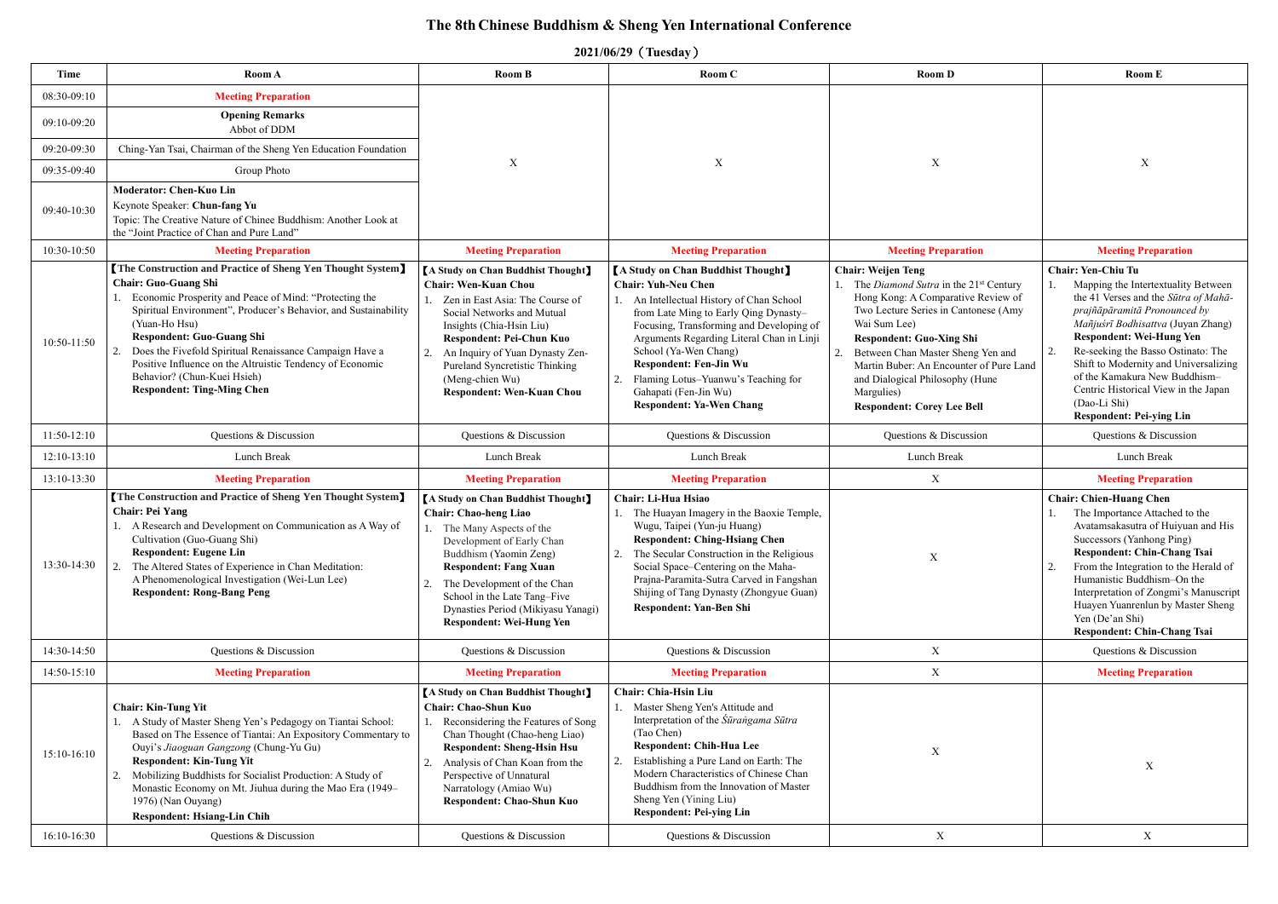## **The 8th Chinese Buddhism & Sheng Yen International Conference**

**2021/06/29**(**Tuesday**)

| Time                       | Room A                                                                                                                                                                                                                                                                                                                                                                                                                                                                              | Room B                                                                                                                                                                                                                                                                                                                                     | Room C                                                                                                                                                                                                                                                                                                                                                                                                                 | <b>Room D</b>                                                                                                                                                                                                                                                                                                                                                                         | <b>Room E</b>                                                                                                                                                                                                                                                                                                                                                                                                         |
|----------------------------|-------------------------------------------------------------------------------------------------------------------------------------------------------------------------------------------------------------------------------------------------------------------------------------------------------------------------------------------------------------------------------------------------------------------------------------------------------------------------------------|--------------------------------------------------------------------------------------------------------------------------------------------------------------------------------------------------------------------------------------------------------------------------------------------------------------------------------------------|------------------------------------------------------------------------------------------------------------------------------------------------------------------------------------------------------------------------------------------------------------------------------------------------------------------------------------------------------------------------------------------------------------------------|---------------------------------------------------------------------------------------------------------------------------------------------------------------------------------------------------------------------------------------------------------------------------------------------------------------------------------------------------------------------------------------|-----------------------------------------------------------------------------------------------------------------------------------------------------------------------------------------------------------------------------------------------------------------------------------------------------------------------------------------------------------------------------------------------------------------------|
|                            |                                                                                                                                                                                                                                                                                                                                                                                                                                                                                     |                                                                                                                                                                                                                                                                                                                                            |                                                                                                                                                                                                                                                                                                                                                                                                                        |                                                                                                                                                                                                                                                                                                                                                                                       |                                                                                                                                                                                                                                                                                                                                                                                                                       |
| 08:30-09:10<br>09:10-09:20 | <b>Meeting Preparation</b><br><b>Opening Remarks</b><br>Abbot of DDM                                                                                                                                                                                                                                                                                                                                                                                                                |                                                                                                                                                                                                                                                                                                                                            |                                                                                                                                                                                                                                                                                                                                                                                                                        |                                                                                                                                                                                                                                                                                                                                                                                       |                                                                                                                                                                                                                                                                                                                                                                                                                       |
| 09:20-09:30                | Ching-Yan Tsai, Chairman of the Sheng Yen Education Foundation                                                                                                                                                                                                                                                                                                                                                                                                                      |                                                                                                                                                                                                                                                                                                                                            |                                                                                                                                                                                                                                                                                                                                                                                                                        |                                                                                                                                                                                                                                                                                                                                                                                       |                                                                                                                                                                                                                                                                                                                                                                                                                       |
| 09:35-09:40                | Group Photo                                                                                                                                                                                                                                                                                                                                                                                                                                                                         | $\mathbf X$                                                                                                                                                                                                                                                                                                                                | X                                                                                                                                                                                                                                                                                                                                                                                                                      | $\mathbf X$                                                                                                                                                                                                                                                                                                                                                                           | $\mathbf X$                                                                                                                                                                                                                                                                                                                                                                                                           |
| 09:40-10:30                | <b>Moderator: Chen-Kuo Lin</b><br>Keynote Speaker: Chun-fang Yu<br>Topic: The Creative Nature of Chinee Buddhism: Another Look at<br>the "Joint Practice of Chan and Pure Land"                                                                                                                                                                                                                                                                                                     |                                                                                                                                                                                                                                                                                                                                            |                                                                                                                                                                                                                                                                                                                                                                                                                        |                                                                                                                                                                                                                                                                                                                                                                                       |                                                                                                                                                                                                                                                                                                                                                                                                                       |
| 10:30-10:50                | <b>Meeting Preparation</b>                                                                                                                                                                                                                                                                                                                                                                                                                                                          | <b>Meeting Preparation</b>                                                                                                                                                                                                                                                                                                                 | <b>Meeting Preparation</b>                                                                                                                                                                                                                                                                                                                                                                                             | <b>Meeting Preparation</b>                                                                                                                                                                                                                                                                                                                                                            | <b>Meeting Preparation</b>                                                                                                                                                                                                                                                                                                                                                                                            |
| $10:50-11:50$              | <b>The Construction and Practice of Sheng Yen Thought System</b><br><b>Chair: Guo-Guang Shi</b><br>Economic Prosperity and Peace of Mind: "Protecting the<br>Spiritual Environment", Producer's Behavior, and Sustainability<br>(Yuan-Ho Hsu)<br><b>Respondent: Guo-Guang Shi</b><br>Does the Fivefold Spiritual Renaissance Campaign Have a<br>2.<br>Positive Influence on the Altruistic Tendency of Economic<br>Behavior? (Chun-Kuei Hsieh)<br><b>Respondent: Ting-Ming Chen</b> | <b>[A Study on Chan Buddhist Thought]</b><br><b>Chair: Wen-Kuan Chou</b><br>Zen in East Asia: The Course of<br>Social Networks and Mutual<br>Insights (Chia-Hsin Liu)<br>Respondent: Pei-Chun Kuo<br>An Inquiry of Yuan Dynasty Zen-<br>Pureland Syncretistic Thinking<br>(Meng-chien Wu)<br><b>Respondent: Wen-Kuan Chou</b>              | <b>[A Study on Chan Buddhist Thought]</b><br><b>Chair: Yuh-Neu Chen</b><br>An Intellectual History of Chan School<br>from Late Ming to Early Qing Dynasty-<br>Focusing, Transforming and Developing of<br>Arguments Regarding Literal Chan in Linji<br>School (Ya-Wen Chang)<br><b>Respondent: Fen-Jin Wu</b><br>Flaming Lotus-Yuanwu's Teaching for<br>2.<br>Gahapati (Fen-Jin Wu)<br><b>Respondent: Ya-Wen Chang</b> | <b>Chair: Weijen Teng</b><br>The Diamond Sutra in the 21 <sup>st</sup> Century<br>Hong Kong: A Comparative Review of<br>Two Lecture Series in Cantonese (Amy<br>Wai Sum Lee)<br><b>Respondent: Guo-Xing Shi</b><br>Between Chan Master Sheng Yen and<br>Martin Buber: An Encounter of Pure Land<br>and Dialogical Philosophy (Hune<br>Margulies)<br><b>Respondent: Corey Lee Bell</b> | Chair: Yen-Chiu Tu<br>Mapping the Intertextuality Between<br>the 41 Verses and the Sūtra of Mahā-<br>prajñāpāramitā Pronounced by<br>Mañjuśrī Bodhisattva (Juyan Zhang)<br><b>Respondent: Wei-Hung Yen</b><br>Re-seeking the Basso Ostinato: The<br>Shift to Modernity and Universalizing<br>of the Kamakura New Buddhism-<br>Centric Historical View in the Japan<br>(Dao-Li Shi)<br><b>Respondent: Pei-ying Lin</b> |
| 11:50-12:10                | Questions & Discussion                                                                                                                                                                                                                                                                                                                                                                                                                                                              | Questions & Discussion                                                                                                                                                                                                                                                                                                                     | Questions & Discussion                                                                                                                                                                                                                                                                                                                                                                                                 | Questions & Discussion                                                                                                                                                                                                                                                                                                                                                                | Questions & Discussion                                                                                                                                                                                                                                                                                                                                                                                                |
| $12:10-13:10$              | Lunch Break                                                                                                                                                                                                                                                                                                                                                                                                                                                                         | Lunch Break                                                                                                                                                                                                                                                                                                                                | Lunch Break                                                                                                                                                                                                                                                                                                                                                                                                            | Lunch Break                                                                                                                                                                                                                                                                                                                                                                           | Lunch Break                                                                                                                                                                                                                                                                                                                                                                                                           |
| 13:10-13:30                | <b>Meeting Preparation</b>                                                                                                                                                                                                                                                                                                                                                                                                                                                          | <b>Meeting Preparation</b>                                                                                                                                                                                                                                                                                                                 | <b>Meeting Preparation</b>                                                                                                                                                                                                                                                                                                                                                                                             | X                                                                                                                                                                                                                                                                                                                                                                                     | <b>Meeting Preparation</b>                                                                                                                                                                                                                                                                                                                                                                                            |
| 13:30-14:30                | The Construction and Practice of Sheng Yen Thought System]<br><b>Chair: Pei Yang</b><br>1. A Research and Development on Communication as A Way of<br>Cultivation (Guo-Guang Shi)<br><b>Respondent: Eugene Lin</b><br>The Altered States of Experience in Chan Meditation:<br>2.<br>A Phenomenological Investigation (Wei-Lun Lee)<br><b>Respondent: Rong-Bang Peng</b>                                                                                                             | <b>A Study on Chan Buddhist Thought</b><br><b>Chair: Chao-heng Liao</b><br>1. The Many Aspects of the<br>Development of Early Chan<br>Buddhism (Yaomin Zeng)<br><b>Respondent: Fang Xuan</b><br>The Development of the Chan<br>2.<br>School in the Late Tang-Five<br>Dynasties Period (Mikiyasu Yanagi)<br><b>Respondent: Wei-Hung Yen</b> | Chair: Li-Hua Hsiao<br>The Huayan Imagery in the Baoxie Temple,<br>Wugu, Taipei (Yun-ju Huang)<br><b>Respondent: Ching-Hsiang Chen</b><br>The Secular Construction in the Religious<br>Social Space-Centering on the Maha-<br>Prajna-Paramita-Sutra Carved in Fangshan<br>Shijing of Tang Dynasty (Zhongyue Guan)<br>Respondent: Yan-Ben Shi                                                                           | $\mathbf X$                                                                                                                                                                                                                                                                                                                                                                           | <b>Chair: Chien-Huang Chen</b><br>The Importance Attached to the<br>Avatamsakasutra of Huiyuan and His<br>Successors (Yanhong Ping)<br><b>Respondent: Chin-Chang Tsai</b><br>From the Integration to the Herald of<br>Humanistic Buddhism-On the<br>Interpretation of Zongmi's Manuscript<br>Huayen Yuanrenlun by Master Sheng<br>Yen (De'an Shi)<br><b>Respondent: Chin-Chang Tsai</b>                               |
| 14:30-14:50                | Questions & Discussion                                                                                                                                                                                                                                                                                                                                                                                                                                                              | Questions & Discussion                                                                                                                                                                                                                                                                                                                     | Questions & Discussion                                                                                                                                                                                                                                                                                                                                                                                                 | $\mathbf X$                                                                                                                                                                                                                                                                                                                                                                           | Questions & Discussion                                                                                                                                                                                                                                                                                                                                                                                                |
| 14:50-15:10                | <b>Meeting Preparation</b>                                                                                                                                                                                                                                                                                                                                                                                                                                                          | <b>Meeting Preparation</b>                                                                                                                                                                                                                                                                                                                 | <b>Meeting Preparation</b>                                                                                                                                                                                                                                                                                                                                                                                             | $\mathbf X$                                                                                                                                                                                                                                                                                                                                                                           | <b>Meeting Preparation</b>                                                                                                                                                                                                                                                                                                                                                                                            |
| $15:10-16:10$              | <b>Chair: Kin-Tung Yit</b><br>1. A Study of Master Sheng Yen's Pedagogy on Tiantai School:<br>Based on The Essence of Tiantai: An Expository Commentary to<br>Ouyi's Jiaoguan Gangzong (Chung-Yu Gu)<br><b>Respondent: Kin-Tung Yit</b><br>Mobilizing Buddhists for Socialist Production: A Study of<br>Monastic Economy on Mt. Jiuhua during the Mao Era (1949-<br>1976) (Nan Ouyang)<br><b>Respondent: Hsiang-Lin Chih</b>                                                        | <b>A Study on Chan Buddhist Thought</b><br><b>Chair: Chao-Shun Kuo</b><br>Reconsidering the Features of Song<br>Chan Thought (Chao-heng Liao)<br><b>Respondent: Sheng-Hsin Hsu</b><br>Analysis of Chan Koan from the<br>2.<br>Perspective of Unnatural<br>Narratology (Amiao Wu)<br><b>Respondent: Chao-Shun Kuo</b>                       | Chair: Chia-Hsin Liu<br>Master Sheng Yen's Attitude and<br>Interpretation of the Surangama Sutra<br>(Tao Chen)<br><b>Respondent: Chih-Hua Lee</b><br>Establishing a Pure Land on Earth: The<br>2.<br>Modern Characteristics of Chinese Chan<br>Buddhism from the Innovation of Master<br>Sheng Yen (Yining Liu)<br><b>Respondent: Pei-ying Lin</b>                                                                     | $\mathbf X$                                                                                                                                                                                                                                                                                                                                                                           | $\boldsymbol{\mathrm{X}}$                                                                                                                                                                                                                                                                                                                                                                                             |
| $16:10-16:30$              | Questions & Discussion                                                                                                                                                                                                                                                                                                                                                                                                                                                              | Questions & Discussion                                                                                                                                                                                                                                                                                                                     | Questions & Discussion                                                                                                                                                                                                                                                                                                                                                                                                 | $\boldsymbol{\mathrm{X}}$                                                                                                                                                                                                                                                                                                                                                             | $\mathbf X$                                                                                                                                                                                                                                                                                                                                                                                                           |